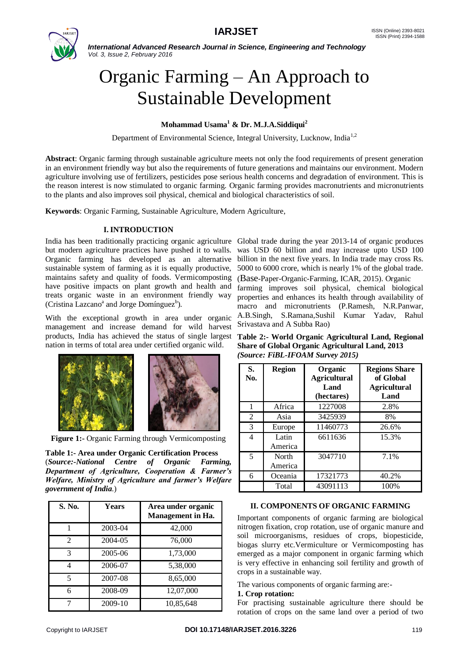

*International Advanced Research Journal in Science, Engineering and Technology Vol. 3, Issue 2, February 2016*

# Organic Farming – An Approach to Sustainable Development

# **Mohammad Usama<sup>1</sup> & Dr. M.J.A.Siddiqui<sup>2</sup>**

Department of Environmental Science, Integral University, Lucknow, India<sup>1,2</sup>

**Abstract**: Organic farming through sustainable agriculture meets not only the food requirements of present generation in an environment friendly way but also the requirements of future generations and maintains our environment. Modern agriculture involving use of fertilizers, pesticides pose serious health concerns and degradation of environment. This is the reason interest is now stimulated to organic farming. Organic farming provides macronutrients and micronutrients to the plants and also improves soil physical, chemical and biological characteristics of soil.

**Keywords**: Organic Farming, Sustainable Agriculture, Modern Agriculture,

## **I. INTRODUCTION**

India has been traditionally practicing organic agriculture Global trade during the year 2013-14 of organic produces but modern agriculture practices have pushed it to walls. was USD 60 billion and may increase upto USD 100 Organic farming has developed as an alternative billion in the next five years. In India trade may cross Rs. sustainable system of farming as it is equally productive, maintains safety and quality of foods. Vermicomposting have positive impacts on plant growth and health and treats organic waste in an environment friendly way (Cristina Lazcano<sup>a</sup> and Jorge Domínguez<sup>b</sup>).

With the exceptional growth in area under organic management and increase demand for wild harvest products, India has achieved the status of single largest nation in terms of total area under certified organic wild.



**Figure 1:-** Organic Farming through Vermicomposting

**Table 1:- Area under Organic Certification Process** (*Source:-National Centre of Organic Farming, Department of Agriculture, Cooperation & Farmer's Welfare, Ministry of Agriculture and farmer's Welfare government of India*.)

| S. No.         | Years   | Area under organic<br><b>Management in Ha.</b> |
|----------------|---------|------------------------------------------------|
|                | 2003-04 | 42,000                                         |
| $\mathfrak{D}$ | 2004-05 | 76,000                                         |
| 3              | 2005-06 | 1,73,000                                       |
| 4              | 2006-07 | 5,38,000                                       |
| 5              | 2007-08 | 8,65,000                                       |
| 6              | 2008-09 | 12,07,000                                      |
|                | 2009-10 | 10,85,648                                      |

5000 to 6000 crore, which is nearly 1% of the global trade. (Base-Paper-Organic-Farming, ICAR, 2015). Organic farming improves soil physical, chemical biological properties and enhances its health through availability of macro and micronutrients (P.Ramesh, N.R.Panwar, A.B.Singh, S.Ramana,Sushil Kumar Yadav, Rahul Srivastava and A Subba Rao)

**Table 2:- World Organic Agricultural Land, Regional Share of Global Organic Agricultural Land, 2013** *(Source: FiBL-IFOAM Survey 2015)*

| S.<br>No. | <b>Region</b>    | Organic<br><b>Agricultural</b><br>Land<br>(hectares) | <b>Regions Share</b><br>of Global<br><b>Agricultural</b><br>Land |
|-----------|------------------|------------------------------------------------------|------------------------------------------------------------------|
| 1         | Africa           | 1227008                                              | 2.8%                                                             |
| 2         | Asia             | 3425939                                              | 8%                                                               |
| 3         | Europe           | 11460773                                             | 26.6%                                                            |
| 4         | Latin<br>America | 6611636                                              | 15.3%                                                            |
| 5         | North<br>America | 3047710                                              | 7.1%                                                             |
| 6         | Oceania          | 17321773                                             | 40.2%                                                            |
|           | Total            | 43091113                                             | 100%                                                             |

#### **II. COMPONENTS OF ORGANIC FARMING**

Important components of organic farming are biological nitrogen fixation, crop rotation, use of organic manure and soil microorganisms, residues of crops, biopesticide, biogas slurry etc.Vermiculture or Vermicomposting has emerged as a major component in organic farming which is very effective in enhancing soil fertility and growth of crops in a sustainable way.

The various components of organic farming are:-

#### **1. Crop rotation:**

For practising sustainable agriculture there should be rotation of crops on the same land over a period of two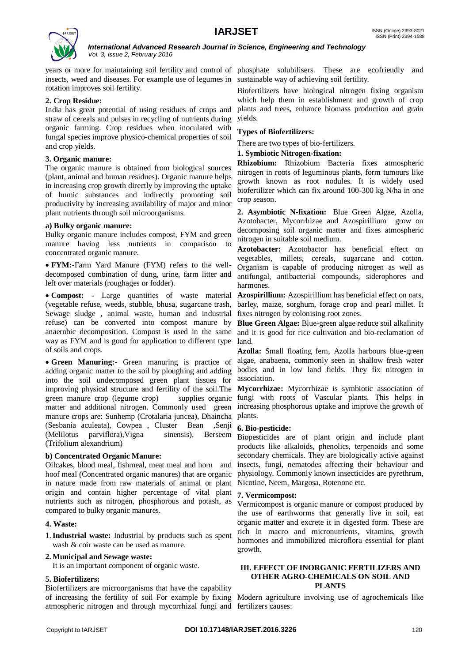

*International Advanced Research Journal in Science, Engineering and Technology Vol. 3, Issue 2, February 2016*

years or more for maintaining soil fertility and control of phosphate solubilisers. These are ecofriendly and insects, weed and diseases. For example use of legumes in sustainable way of achieving soil fertility. rotation improves soil fertility.

#### **2. Crop Residue:**

India has great potential of using residues of crops and straw of cereals and pulses in recycling of nutrients during organic farming. Crop residues when inoculated with fungal species improve physico-chemical properties of soil and crop yields.

#### **3. Organic manure:**

The organic manure is obtained from biological sources (plant, animal and human residues). Organic manure helps in increasing crop growth directly by improving the uptake of humic substances and indirectly promoting soil productivity by increasing availability of major and minor plant nutrients through soil microorganisms.

## **a) Bulky organic manure:**

Bulky organic manure includes compost, FYM and green manure having less nutrients in comparison to concentrated organic manure.

 **FYM:-**Farm Yard Manure (FYM) refers to the welldecomposed combination of dung, urine, farm litter and left over materials (roughages or fodder).

 **Compost: -** Large quantities of waste material (vegetable refuse, weeds, stubble, bhusa, sugarcane trash, Sewage sludge , animal waste, human and industrial refuse) can be converted into compost manure by **Blue Green Algae:** Blue-green algae reduce soil alkalinity anaerobic decomposition. Compost is used in the same way as FYM and is good for application to different type of soils and crops.

 **Green Manuring:-** Green manuring is practice of adding organic matter to the soil by ploughing and adding into the soil undecomposed green plant tissues for improving physical structure and fertility of the soil.The **Mycorrhizae:** Mycorrhizae is symbiotic association of green manure crop (legume crop) matter and additional nitrogen. Commonly used green increasing phosphorous uptake and improve the growth of manure crops are: Sunhemp (Crotalaria juncea), Dhaincha plants. (Sesbania aculeata), Cowpea , Cluster Bean ,Senji (Melilotus parviflora),Vigna sinensis), Berseem (Trifolium alexandrium)

## **b) Concentrated Organic Manure:**

Oilcakes, blood meal, fishmeal, meat meal and horn and hoof meal (Concentrated organic manures) that are organic in nature made from raw materials of animal or plant origin and contain higher percentage of vital plant nutrients such as nitrogen, phosphorous and potash, as compared to bulky organic manures.

#### **4. Waste:**

1.**Industrial waste:** Industrial by products such as spent wash & coir waste can be used as manure.

#### **2.Municipal and Sewage waste:**

It is an important component of organic waste.

## **5. Biofertilizers:**

Biofertilizers are microorganisms that have the capability of increasing the fertility of soil For example by fixing Modern agriculture involving use of agrochemicals like atmospheric nitrogen and through mycorrhizal fungi and fertilizers causes:

Biofertilizers have biological nitrogen fixing organism which help them in establishment and growth of crop plants and trees, enhance biomass production and grain yields.

#### **Types of Biofertilizers:**

There are two types of bio-fertilizers.

#### **1. Symbiotic Nitrogen-fixation:**

**Rhizobium:** Rhizobium Bacteria fixes atmospheric nitrogen in roots of leguminous plants, form tumours like growth known as root nodules. It is widely used biofertilizer which can fix around 100-300 kg N/ha in one crop season.

**2. Asymbiotic N-fixation:** Blue Green Algae, Azolla, Azotobacter, Mycorrhizae and Azospirillium grow on decomposing soil organic matter and fixes atmospheric nitrogen in suitable soil medium.

**Azotobacter:** Azotobactor has beneficial effect on vegetables, millets, cereals, sugarcane and cotton. Organism is capable of producing nitrogen as well as antifungal, antibacterial compounds, siderophores and harmones.

**Azospirillium:** Azospirillium has beneficial effect on oats, barley, maize, sorghum, forage crop and pearl millet. It fixes nitrogen by colonising root zones.

and it is good for rice cultivation and bio-reclamation of land.

**Azolla:** Small floating fern, Azolla harbours blue-green algae, anabaena, commonly seen in shallow fresh water bodies and in low land fields. They fix nitrogen in association.

supplies organic fungi with roots of Vascular plants. This helps in

#### **6. Bio-pesticide:**

Biopesticides are of plant origin and include plant products like alkaloids, phenolics, terpenoids and some secondary chemicals. They are biologically active against insects, fungi, nematodes affecting their behaviour and physiology. Commonly known insecticides are pyrethrum, Nicotine, Neem, Margosa, Rotenone etc.

#### **7. Vermicompost:**

Vermicompost is organic manure or compost produced by the use of earthworms that generally live in soil, eat organic matter and excrete it in digested form. These are rich in macro and micronutrients, vitamins, growth hormones and immobilized microflora essential for plant growth.

#### **III. EFFECT OF INORGANIC FERTILIZERS AND OTHER AGRO-CHEMICALS ON SOIL AND PLANTS**